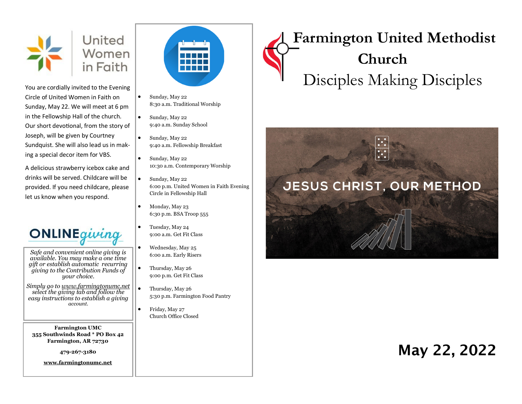

You are cordially invited to the Evening Circle of United Women in Faith on Sunday, May 22. We will meet at 6 pm in the Fellowship Hall of the church. Our short devotional, from the story of Joseph, will be given by Courtney Sundquist. She will also lead us in making a special decor item for VBS.

A delicious strawberry icebox cake and drinks will be served. Childcare will be provided. If you need childcare, please let us know when you respond.



*Safe and convenient online giving is available. You may make a one time gift or establish automatic recurring giving to the Contribution Funds of your choice.* 

*Simply go to www.farmingtonumc.net select the giving tab and follow the easy instructions to establish a giving account.* 

**Farmington UMC 355 Southwinds Road \* PO Box 42 Farmington, AR 72730**

**479-267-3180** 

**www.farmingtonumc.net** 



- Sunday, May 22 8:30 a.m. Traditional Worship
- Sunday, May 22 9:40 a.m. Sunday School
- Sunday, May 22 9:40 a.m. Fellowship Breakfast
- Sunday, May 22 10:30 a.m. Contemporary Worship
- Sunday, May 22 6:00 p.m. United Women in Faith Evening Circle in Fellowship Hall
- Monday, May 23 6:30 p.m. BSA Troop 555
- Tuesday, May 24 9:00 a.m. Get Fit Class
- Wednesday, May 25 6:00 a.m. Early Risers
- Thursday, May 26 9:00 p.m. Get Fit Class
- Thursday, May 26 5:30 p.m. Farmington Food Pantry
- Friday, May 27 Church Office Closed

# **Farmington United Methodist Church** Disciples Making Disciples



## May 22, 2022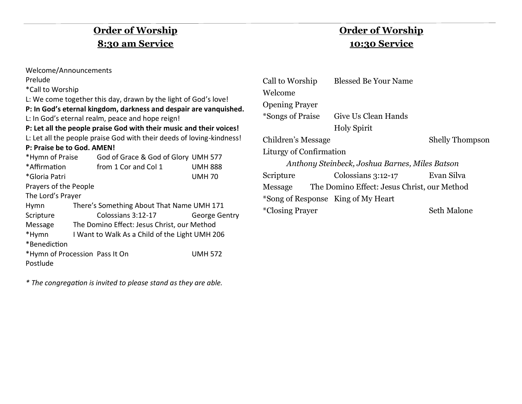## **Order of Worship 8:30 am Service**

| Welcome/Announcements                                             |                                                |                                                                       |                |  |
|-------------------------------------------------------------------|------------------------------------------------|-----------------------------------------------------------------------|----------------|--|
| Prelude                                                           |                                                |                                                                       |                |  |
| *Call to Worship                                                  |                                                |                                                                       |                |  |
| L: We come together this day, drawn by the light of God's love!   |                                                |                                                                       |                |  |
| P: In God's eternal kingdom, darkness and despair are vanquished. |                                                |                                                                       |                |  |
|                                                                   |                                                | L: In God's eternal realm, peace and hope reign!                      |                |  |
|                                                                   |                                                | P: Let all the people praise God with their music and their voices!   |                |  |
|                                                                   |                                                | L: Let all the people praise God with their deeds of loving-kindness! |                |  |
| P: Praise be to God. AMEN!                                        |                                                |                                                                       |                |  |
|                                                                   |                                                | *Hymn of Praise God of Grace & God of Glory UMH 577                   |                |  |
| *Affirmation                                                      |                                                | from 1 Cor and Col 1                                                  | <b>UMH 888</b> |  |
| *Gloria Patri                                                     |                                                |                                                                       | <b>UMH70</b>   |  |
| Prayers of the People                                             |                                                |                                                                       |                |  |
| The Lord's Prayer                                                 |                                                |                                                                       |                |  |
| <b>Hymn</b>                                                       | There's Something About That Name UMH 171      |                                                                       |                |  |
| Scripture                                                         |                                                | Colossians 3:12-17                                                    | George Gentry  |  |
|                                                                   |                                                | Message The Domino Effect: Jesus Christ, our Method                   |                |  |
| *Hymn                                                             | I Want to Walk As a Child of the Light UMH 206 |                                                                       |                |  |
| *Benediction                                                      |                                                |                                                                       |                |  |
| *Hymn of Procession Pass It On                                    |                                                |                                                                       | <b>UMH 572</b> |  |
| Postlude                                                          |                                                |                                                                       |                |  |

*\* The congregation is invited to please stand as they are able.*

## **Order of Worship 10:30 Service**

| Call to Worship         | <b>Blessed Be Your Name</b>                         |                        |
|-------------------------|-----------------------------------------------------|------------------------|
| Welcome                 |                                                     |                        |
| <b>Opening Prayer</b>   |                                                     |                        |
|                         | *Songs of Praise Give Us Clean Hands                |                        |
|                         | <b>Holy Spirit</b>                                  |                        |
| Children's Message      |                                                     | <b>Shelly Thompson</b> |
| Liturgy of Confirmation |                                                     |                        |
|                         | Anthony Steinbeck, Joshua Barnes, Miles Batson      |                        |
| Scripture               | $\text{Colossians } 3:12-17$                        | Evan Silva             |
|                         | Message The Domino Effect: Jesus Christ, our Method |                        |
|                         | *Song of Response King of My Heart                  |                        |
| <i>*Closing Prayer</i>  |                                                     | Seth Malone            |